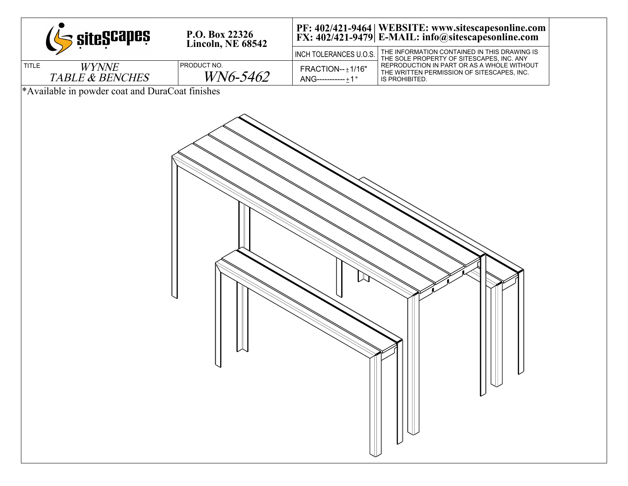